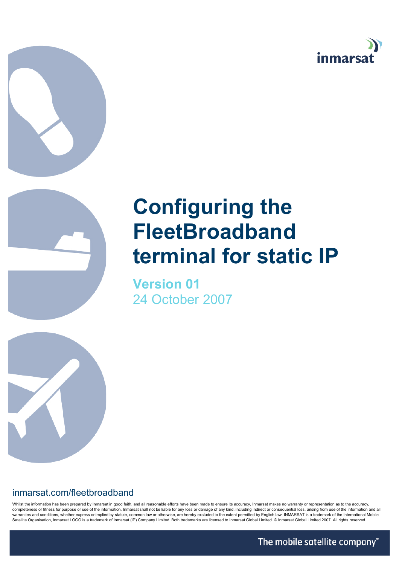



## **Configuring the FleetBroadband terminal for static IP**

**Version 01** 24 October 2007



Whilst the information has been prepared by Inmarsat in good faith, and all reasonable efforts have been made to ensure its accuracy, Inmarsat makes no warranty or representation as to the accuracy, completeness or fitness for purpose or use of the information. Inmarsat shall not be liable for any loss or damage of any kind, including indirect or consequential loss, ansing from use of the information and all<br>warrantie Satellite Organisation, Inmarsat LOGO is a trademark of Inmarsat (IP) Company Limited. Both trademarks are licensed to Inmarsat Global Limited. © Inmarsat Global Limited 2007. All rights reserved.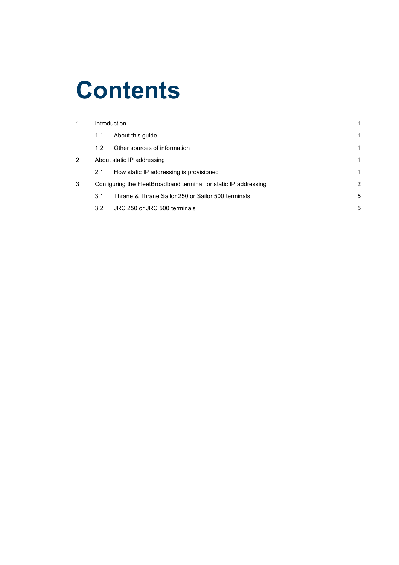# **Contents**

| 1              | Introduction |                                                                  |   |
|----------------|--------------|------------------------------------------------------------------|---|
|                | 1.1          | About this guide                                                 |   |
|                | 1.2          | Other sources of information                                     |   |
| $\overline{2}$ |              | About static IP addressing                                       |   |
|                | 2.1          | How static IP addressing is provisioned                          |   |
| 3              |              | Configuring the FleetBroadband terminal for static IP addressing | 2 |
|                | 3.1          | Thrane & Thrane Sailor 250 or Sailor 500 terminals               | 5 |
|                | 3.2          | JRC 250 or JRC 500 terminals                                     | 5 |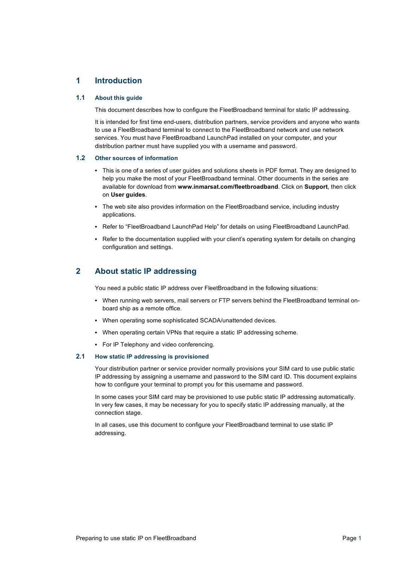## **1 Introduction**

### **1.1 About this guide**

This document describes how to configure the FleetBroadband terminal for static IP addressing.

It is intended for first time end-users, distribution partners, service providers and anyone who wants to use a FleetBroadband terminal to connect to the FleetBroadband network and use network services. You must have FleetBroadband LaunchPad installed on your computer, and your distribution partner must have supplied you with a username and password.

#### **1.2 Other sources of information**

- This is one of a series of user guides and solutions sheets in PDF format. They are designed to help you make the most of your FleetBroadband terminal. Other documents in the series are available for download from **www.inmarsat.com/fleetbroadband**. Click on **Support**, then click on **User guides**.
- The web site also provides information on the FleetBroadband service, including industry applications.
- Refer to "FleetBroadband LaunchPad Help" for details on using FleetBroadband LaunchPad.
- Refer to the documentation supplied with your client's operating system for details on changing configuration and settings.

## **2 About static IP addressing**

You need a public static IP address over FleetBroadband in the following situations:

- When running web servers, mail servers or FTP servers behind the FleetBroadband terminal onboard ship as a remote office.
- When operating some sophisticated SCADA/unattended devices.
- When operating certain VPNs that require a static IP addressing scheme.
- For IP Telephony and video conferencing.

### **2.1 How static IP addressing is provisioned**

Your distribution partner or service provider normally provisions your SIM card to use public static IP addressing by assigning a username and password to the SIM card ID. This document explains how to configure your terminal to prompt you for this username and password.

In some cases your SIM card may be provisioned to use public static IP addressing automatically. In very few cases, it may be necessary for you to specify static IP addressing manually, at the connection stage.

In all cases, use this document to configure your FleetBroadband terminal to use static IP addressing.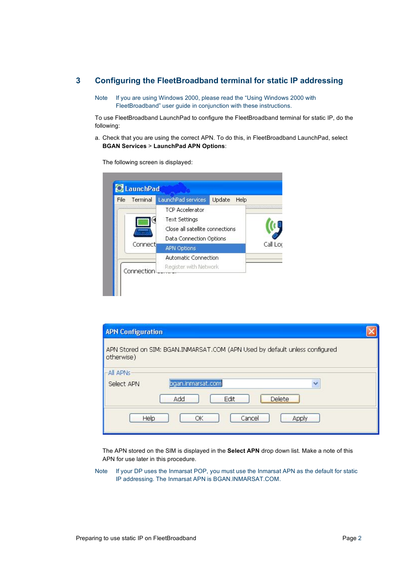## **3 Configuring the FleetBroadband terminal for static IP addressing**

Note If you are using Windows 2000, please read the "Using Windows 2000 with FleetBroadband" user guide in conjunction with these instructions.

To use FleetBroadband LaunchPad to configure the FleetBroadband terminal for static IP, do the following:

a. Check that you are using the correct APN. To do this, in FleetBroadband LaunchPad, select **BGAN Services** > **LaunchPad APN Options**:

The following screen is displayed:

| <b>File</b> | Terminal   | LaunchPad services                                                                                           | <b>Update</b><br>Help |                        |
|-------------|------------|--------------------------------------------------------------------------------------------------------------|-----------------------|------------------------|
|             |            | <b>TCP Accelerator</b><br><b>Text Settings</b><br>Close all satellite connections<br>Data Connection Options |                       | ,,,,,,,,,,,,,,,,,,,,,, |
|             | Connect    | <b>APN Options</b>                                                                                           |                       | Call Loc               |
|             | Connection | <b>Automatic Connection</b><br>Register with Network                                                         |                       |                        |

| <b>APN Configuration</b> |                                                                             |  |
|--------------------------|-----------------------------------------------------------------------------|--|
| otherwise)               | APN Stored on SIM: BGAN.INMARSAT.COM (APN Used by default unless configured |  |
| All APNs<br>Select APN   | bgan.inmarsat.com<br>Y<br><b>Delete</b><br>Add<br>Edit                      |  |
| Help                     | Cancel<br>ОК<br>Apply                                                       |  |

The APN stored on the SIM is displayed in the **Select APN** drop down list. Make a note of this APN for use later in this procedure.

Note If your DP uses the Inmarsat POP, you must use the Inmarsat APN as the default for static IP addressing. The Inmarsat APN is BGAN.INMARSAT.COM.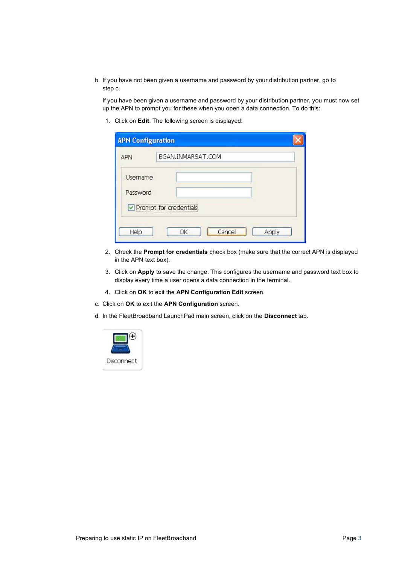b. If you have not been given a username and password by your distribution partner, go to step c.

If you have been given a username and password by your distribution partner, you must now set up the APN to prompt you for these when you open a data connection. To do this:

1. Click on **Edit**. The following screen is displayed:

| <b>APN Configuration</b> |                        |  |
|--------------------------|------------------------|--|
| <b>APN</b>               | BGAN.INMARSAT.COM      |  |
| Username<br>Password     | Prompt for credentials |  |
| Help                     | Cancel<br>Apply<br>ОК  |  |

- 2. Check the **Prompt for credentials** check box (make sure that the correct APN is displayed in the APN text box).
- 3. Click on **Apply** to save the change. This configures the username and password text box to display every time a user opens a data connection in the terminal.
- 4. Click on **OK** to exit the **APN Configuration Edit** screen.
- c. Click on **OK** to exit the **APN Configuration** screen.
- d. In the FleetBroadband LaunchPad main screen, click on the **Disconnect** tab.

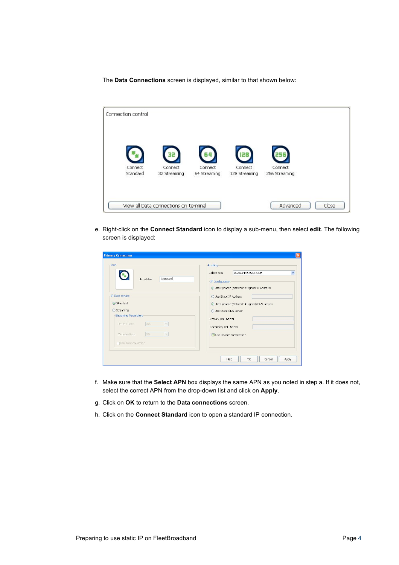The **Data Connections** screen is displayed, similar to that shown below:

| Connection control  |                                       |                         |                          |                          |       |
|---------------------|---------------------------------------|-------------------------|--------------------------|--------------------------|-------|
|                     |                                       |                         | 128                      |                          |       |
| Connect<br>Standard | Connect<br>32 Streaming               | Connect<br>64 Streaming | Connect<br>128 Streaming | Connect<br>256 Streaming |       |
|                     | View all Data connections on terminal |                         |                          | Advanced                 | Close |

e. Right-click on the **Connect Standard** icon to display a sub-menu, then select **edit**. The following screen is displayed:

| -Icon                                                                                                                                | Routing                                                                                                                                                                           |
|--------------------------------------------------------------------------------------------------------------------------------------|-----------------------------------------------------------------------------------------------------------------------------------------------------------------------------------|
| Mag<br>Standard<br>Icon label:                                                                                                       | RGAN.INMARSAT.COM<br>Select APN<br>$\checkmark$<br>-IP Configuration-<br><b>. Use Dynamic (Network Assigned IP Address)</b>                                                       |
| -IP Data service:<br>Standard<br>○ Streaming<br>Streaming Parameters<br>32k<br>Desired Rate<br>s)<br>32k<br>Minimum Rate<br>$\omega$ | ◯ Use Static IP Address<br><b>. Use Dynamic (Network Assigned) DNS Servers</b><br>O Use Static DNS Server<br>Primary DNS Server<br>Secondary DNS Server<br>Use Header compression |
| Use error correction                                                                                                                 | OK<br>Help<br>Apply<br>Cancel                                                                                                                                                     |

- f. Make sure that the **Select APN** box displays the same APN as you noted in step a. If it does not, select the correct APN from the drop-down list and click on **Apply**.
- g. Click on **OK** to return to the **Data connections** screen.
- h. Click on the **Connect Standard** icon to open a standard IP connection.